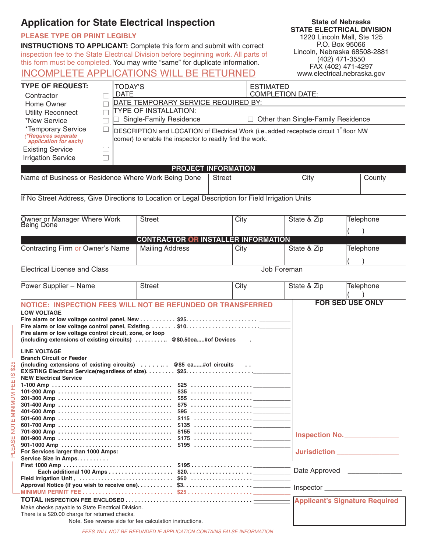# **Application for State Electrical Inspection**

### **PLEASE TYPE OR PRINT LEGIBLY**

PLEASE NOTE MINIMUM FEE IS \$25

PLEASE NOTE MINIMUM FEE IS \$25

**INSTRUCTIONS TO APPLICANT:** Complete this form and submit with correct inspection fee to the State Electrical Division before beginning work. All parts of this form must be completed. You may write "same" for duplicate information.

**State of Nebraska STATE ELECTRICAL DIVISION** 1220 Lincoln Mall, Ste 125 P.O. Box 95066 Lincoln, Nebraska 68508-2881 (402) 471-3550 FAX (402) 471-4297 www.electrical.nebraska.gov

## INCOMPLETE APPLICATIONS WILL BE RETURNED

| <b>TYPE OF REQUEST:</b><br>Contractor                                        |  | TODAY'S<br><b>DATE</b>                                                                                                                                           |  | <b>ESTIMATED</b><br><b>COMPLETION DATE:</b> |                                    |        |  |  |
|------------------------------------------------------------------------------|--|------------------------------------------------------------------------------------------------------------------------------------------------------------------|--|---------------------------------------------|------------------------------------|--------|--|--|
| Home Owner                                                                   |  | DATE TEMPORARY SERVICE REQUIRED BY:                                                                                                                              |  |                                             |                                    |        |  |  |
| <b>Utility Reconnect</b><br>*New Service                                     |  | <b>TYPE OF INSTALLATION:</b><br>Single-Family Residence                                                                                                          |  |                                             | Other than Single-Family Residence |        |  |  |
| *Temporary Service<br><b>*Requires separate</b><br>application for each)     |  | DESCRIPTION and LOCATION of Electrical Work (i.e., added receptacle circuit 1 <sup>*</sup> floor NW<br>corner) to enable the inspector to readily find the work. |  |                                             |                                    |        |  |  |
| <b>Existing Service</b>                                                      |  |                                                                                                                                                                  |  |                                             |                                    |        |  |  |
| <b>Irrigation Service</b>                                                    |  |                                                                                                                                                                  |  |                                             |                                    |        |  |  |
| <b>PROJECT INFORMATION</b>                                                   |  |                                                                                                                                                                  |  |                                             |                                    |        |  |  |
| Name of Business or Residence Where Work Being Done<br>Citv<br><b>Street</b> |  |                                                                                                                                                                  |  |                                             |                                    | County |  |  |

If No Street Address, Give Directions to Location or Legal Description for Field Irrigation Units

| Owner or Manager Where Work<br>Being Done  | <b>Street</b>      | City |  | State & Zip | Telephone        |  |  |  |
|--------------------------------------------|--------------------|------|--|-------------|------------------|--|--|--|
|                                            |                    |      |  |             |                  |  |  |  |
| <b>CONTRACTOR OR INSTALLER INFORMATION</b> |                    |      |  |             |                  |  |  |  |
| Contracting Firm or Owner's Name           | Mailing Address    | City |  | State & Zip | <b>Telephone</b> |  |  |  |
|                                            |                    |      |  |             |                  |  |  |  |
| Electrical License and Class               | <b>Job Foreman</b> |      |  |             |                  |  |  |  |

| Power Supplier - Name                                                                         | <b>Street</b>                                            | City                    | State & Zip   | <b>Telephone</b>                      |
|-----------------------------------------------------------------------------------------------|----------------------------------------------------------|-------------------------|---------------|---------------------------------------|
| NOTICE: INSPECTION FEES WILL NOT BE REFUNDED OR TRANSFERRED                                   |                                                          | <b>FOR SED USE ONLY</b> |               |                                       |
| <b>LOW VOLTAGE</b>                                                                            |                                                          |                         |               |                                       |
| Fire alarm or low voltage control panel, New \$25                                             |                                                          |                         |               |                                       |
|                                                                                               |                                                          |                         |               |                                       |
| Fire alarm or low voltage control circuit, zone, or loop                                      |                                                          |                         |               |                                       |
| (including extensions of existing circuits) $\ldots \ldots \ldots$ @\$0.50ea#of Devices_____. |                                                          |                         |               |                                       |
| <b>LINE VOLTAGE</b>                                                                           |                                                          |                         |               |                                       |
| <b>Branch Circuit or Feeder</b>                                                               |                                                          |                         |               |                                       |
| (including extensions of existing circuits)  @\$5 ea#of circuits____._________________        |                                                          |                         |               |                                       |
|                                                                                               |                                                          |                         |               |                                       |
| <b>NEW Electrical Service</b>                                                                 |                                                          |                         |               |                                       |
|                                                                                               |                                                          |                         |               |                                       |
|                                                                                               |                                                          |                         |               |                                       |
|                                                                                               |                                                          |                         |               |                                       |
|                                                                                               |                                                          |                         |               |                                       |
|                                                                                               |                                                          |                         |               |                                       |
|                                                                                               |                                                          |                         |               |                                       |
|                                                                                               |                                                          |                         |               |                                       |
|                                                                                               |                                                          |                         |               |                                       |
|                                                                                               |                                                          |                         |               | Inspection No.                        |
|                                                                                               |                                                          |                         |               |                                       |
| For Services larger than 1000 Amps:                                                           |                                                          |                         |               | <b>Jurisdiction</b>                   |
|                                                                                               |                                                          |                         |               |                                       |
|                                                                                               |                                                          |                         |               |                                       |
|                                                                                               |                                                          |                         | Date Approved |                                       |
|                                                                                               |                                                          |                         |               |                                       |
|                                                                                               |                                                          |                         |               |                                       |
|                                                                                               |                                                          |                         |               |                                       |
|                                                                                               |                                                          |                         |               | <b>Applicant's Signature Required</b> |
| Make checks payable to State Electrical Division.                                             |                                                          |                         |               |                                       |
| There is a \$20.00 charge for returned checks.                                                |                                                          |                         |               |                                       |
|                                                                                               | Note. See reverse side for fee calculation instructions. |                         |               |                                       |